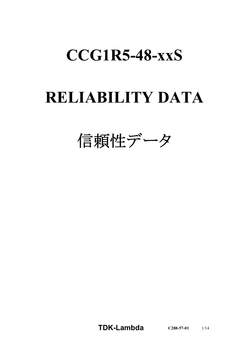# **CCG1R5-48-xxS**

# **RELIABILITY DATA**

信頼性データ

**TDK-Lambda C288-57-01** 1/14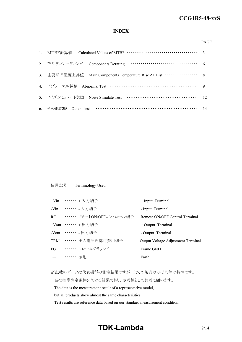#### **INDEX**

#### PAGE

| 3. 主要部品温度上昇值 Main Components Temperature Rise $\Delta T$ List ··············· 8 |  |
|---------------------------------------------------------------------------------|--|
| 4. アブノーマル試験 Abnormal Test …………………………………………………… 9                                |  |
| 5. ノイズシミュレート試験 Noise Simulate Test ……………………………………… 12                           |  |
| 6. その他試験 Other Test ……………………………………………………… 14                                    |  |

使用記号 Terminology Used

|       | +Vin …… + 入力端子                 | + Input Terminal                   |
|-------|--------------------------------|------------------------------------|
|       | -Vin ……… 入力端子                  | - Input Terminal                   |
|       | RC •・・・・・・・ リモートON/OFFコントロール端子 | Remote ON/OFF Control Terminal     |
|       | +Vout …… + 出力端子                | $+$ Output Terminal                |
|       | -Vout ……… 出力端子                 | - Output Terminal                  |
|       | TRM …… 出力電圧外部可変用端子             | Output Voltage Adjustment Terminal |
|       | FG …… フレームグラウンド                | Frame GND                          |
| $\pm$ | . 接地                           | Earth                              |
|       |                                |                                    |

※記載のデータは代表機種の測定結果ですが、全ての製品はほぼ同等の特性です。

当社標準測定条件における結果であり、参考値としてお考え願います。

The data is the measurement result of a representative model,

but all products show almost the same characteristics.

Test results are reference data based on our standard measurement condition.

## **TDK-Lambda**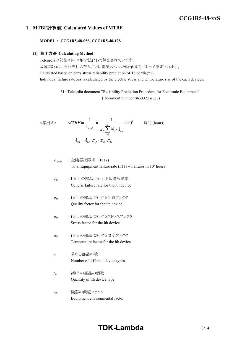#### **1. MTBF**計算値 **Calculated Values of MTBF**

**MODEL : CCG1R5-48-05S, CCG1R5-48-12S**

#### **(1)** 算出方法 **Calculating Method**

Telcordiaの部品ストレス解析法(\*1)で算出されています。 故障率λssは、それぞれの部品ごとに電気ストレスと動作温度によって決定されます。 Calculated based on parts stress reliability prediction of Telcordia(\*1). Individual failure rate λss is calculated by the electric stress and temperature rise of the each devices.

> \*1: Telcordia document "Reliability Prediction Procedure for Electronic Equipment" (Document number SR-332,Issue3)

$$
\langle \hat{\mathbf{g}} | \mathbf{H} \mathbf{x} \rangle \qquad MTBF = \frac{1}{\lambda_{equip}} = \frac{1}{\pi_E \sum_{i=1}^{m} N_i \cdot \lambda_{ssi}} \times 10^9 \qquad \text{iff } (\text{hours})
$$
\n
$$
\lambda_{ssi} = \lambda_{Gi} \cdot \pi_{Qi} \cdot \pi_{Si} \cdot \pi_{Ti}
$$

$$
\lambda_{\text{equip}} : \hat{\pm} \circledR \circledR \circledR \circledR
$$
\n
$$
\lambda_{\text{equip}}
$$
\n
$$
\therefore \quad \text{Total Equipment failure rate (FITs = Failure in 109 hours)}
$$

<sup>l</sup>*Gi* : i 番目の部品に対する基礎故障率 Generic failure rate for the ith device

- <sup>p</sup>*Qi* : i番目の部品に対する品質ファクタ Quality factor for the ith device
- <sup>p</sup>*Si* : i番目の部品に対するストレスファクタ Stress factor for the ith device
- <sup>p</sup>*Ti* : i番目の部品に対する温度ファクタ Temperature factor for the ith device
- *m* : 異なる部品の数 Number of different device types
- *Ni* : i番目の部品の個数 Quantity of ith device type
- <sup>p</sup>*<sup>E</sup>* : 機器の環境ファクタ Equipment environmental factor

# **TDK-Lambda**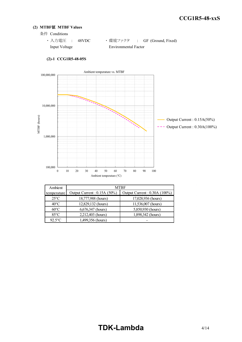#### **(2) MTBF**値 **MTBF Values**

- 条件 Conditions
	- · 入力電圧 : 48VDC ·環境ファクタ : GF (Ground, Fixed) Input Voltage Environmental Factor



#### **(2)-1 CCG1R5-48-05S**

| Ambient        |                             | MTBF                          |  |  |  |  |
|----------------|-----------------------------|-------------------------------|--|--|--|--|
| temperature    | Output Current: 0.15A (50%) | Output Current : 0.30A (100%) |  |  |  |  |
| $25^{\circ}$ C | 18,777,988 (hours)          | 17,028,936 (hours)            |  |  |  |  |
| $40^{\circ}$ C | 12,829,132 (hours)          | 11,536,007 (hours)            |  |  |  |  |
| $60^{\circ}$ C | 6,676,347 (hours)           | 5,850,930 (hours)             |  |  |  |  |
| $85^{\circ}$ C | 2,212,403 (hours)           | 1,898,342 (hours)             |  |  |  |  |
| $92.5$ °C      | 1,499,356 (hours)           |                               |  |  |  |  |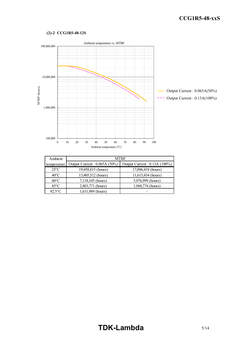#### **(2)-2 CCG1R5-48-12S**



| Ambient        |                              | <b>MTBF</b>                  |  |  |  |  |
|----------------|------------------------------|------------------------------|--|--|--|--|
| temperature    | Output Current: 0.065A (50%) | Output Current: 0.13A (100%) |  |  |  |  |
| $25^{\circ}$ C | 19,458,815 (hours)           | 17,006,418 (hours)           |  |  |  |  |
| $40^{\circ}$ C | 13,405,512 (hours)           | 11,615,434 (hours)           |  |  |  |  |
| $60^{\circ}$ C | 7,118,105 (hours)            | 5,976,999 (hours)            |  |  |  |  |
| $85^{\circ}$ C | 2,403,771 (hours)            | 1,960,774 (hours)            |  |  |  |  |
| $92.5$ °C      | 1,631,989 (hours)            |                              |  |  |  |  |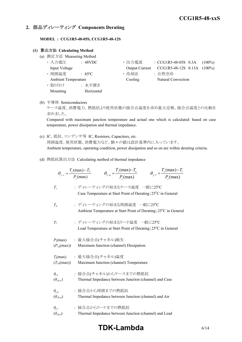### **2.** 部品ディレーティング **Components Derating**

**MODEL : CCG1R5-48-05S, CCG1R5-48-12S**

#### **(1)** 算出方法 **Calculating Method**

- (a) 測定方法 Measuring Method
	- ・ 入力電圧 : 48VDC ・ 出力電流 : CCG1R5-48-05S 0.3A (100%) Input Voltage Output Current CCG1R5-48-12S 0.13A (100%) • 周囲温度 : 85°C · 哈却法 : 自然空冷 Ambient Temperature Cooling Natural Convection ・ 取り付け : 水平置き Mounting Horizontal
- (b) 半導体 Semiconductors

ケース温度、消費電力、熱抵抗より使用状態の接合点温度を求め最大定格、接合点温度との比較を 求めました。

Compared with maximum junction temperature and actual one which is calculated based on case temperature, power dissipation and thermal impedance.

- (c) IC、抵抗、コンデンサ等 IC, Resistors, Capacitors, etc. 周囲温度、使用状態、消費電力など、個々の値は設計基準内に入っています。 Ambient temperature, operating condition, power dissipation and so on are within derating criteria.
- (d) 熱抵抗算出方法 Calculating method of thermal impedance

|                                     | $\theta_{j-a} = \frac{T_j(\text{max}) - T_a}{P_j(\text{max})}$<br>$\theta_{j-l} = \frac{T_j(\text{max}) - T_l}{P_j(\text{max})}$<br>$\theta_{j-c} = \frac{T_j(\text{max}) - T_c}{P_i(\text{max})}$ |
|-------------------------------------|----------------------------------------------------------------------------------------------------------------------------------------------------------------------------------------------------|
| $T_c$                               | : ディレーティングの始まるケース温度 一般に25℃<br>Case Temperature at Start Point of Derating; 25 <sup>o</sup> C in General                                                                                            |
| $T_a$                               | : ディレーティングの始まる周囲温度 一般に25℃<br>Ambient Temperature at Start Point of Derating; 25°C in General                                                                                                       |
| $T_I$                               | : ディレーティングの始まるリード温度 一般に25℃<br>Lead Temperature at Start Point of Derating; 25°C in General                                                                                                         |
| $(P_{ch}(\text{max}))$              | $P_i$ (max) : 最大接合点(チャネル)損失<br>Maximum Junction (channel) Dissipation                                                                                                                              |
| $(T_{ch}(\text{max}))$              | $T_j$ (max) : 最大接合点(チャネル)温度<br>Maximum Junction (channel) Temperature                                                                                                                              |
| $\theta_{j-c}$<br>$(\theta_{ch-c})$ | : 接合点(チャネル)からケースまでの熱抵抗<br>Thermal Impedance between Junction (channel) and Case                                                                                                                    |
| $\theta_{j-a}$<br>$(\theta_{ch-a})$ | : 接合点から周囲までの熱抵抗<br>Thermal Impedance between Junction (channel) and Air                                                                                                                            |
| $\theta_{i-l}$<br>$(\theta_{ch-l})$ | : 接合点からリードまでの熱抵抗<br>Thermal Impedance between Junction (channel) and Lead                                                                                                                          |

## **TDK-Lambda** 6/14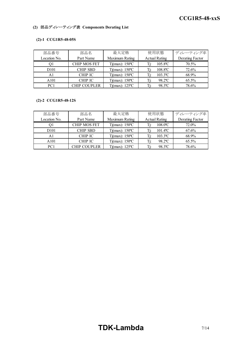#### **(2)** 部品ディレーティング表 **Components Derating List**

#### **(2)-1 CCG1R5-48-05S**

| 部品番号             | 部品名                 | 最大定格                           | 使用状態                   | ディレーティング率       |
|------------------|---------------------|--------------------------------|------------------------|-----------------|
| Location No.     | Part Name           | Maximum Rating                 | <b>Actual Rating</b>   | Derating Factor |
|                  | <b>CHIP MOS FET</b> | $Tj(max)$ : 150°C              | $105.8$ <sup>o</sup> C | 70.5%           |
| D <sub>101</sub> | <b>CHIP SBD</b>     | $Tj(max)$ : 150 °C             | $108.8$ <sup>o</sup> C | 72.6%           |
| Al               | <b>CHIP IC</b>      | $Tj(max)$ : 150 °C             | $103.3$ <sup>o</sup> C | 68.9%           |
| A101             | <b>CHIP IC</b>      | $Tj(max)$ : 150 °C             | 98.2°C                 | 65.5%           |
| PC <sub>1</sub>  | <b>CHIP COUPLER</b> | $Tj(max)$ : 125 <sup>o</sup> C | 98.3°C                 | 78.6%           |

#### **(2)-2 CCG1R5-48-12S**

| 部品番号             | 部品名                 | 最大定格               | 使用状態                   | ディレーティング率       |
|------------------|---------------------|--------------------|------------------------|-----------------|
| Location No.     | Part Name           | Maximum Rating     | <b>Actual Rating</b>   | Derating Factor |
| Οl               | <b>CHIP MOS FET</b> | $Tj(max)$ : 150°C  | $108.0$ <sup>o</sup> C | 72.0%           |
| D <sub>101</sub> | <b>CHIP SBD</b>     | $Tj(max)$ : 150 °C | $101.4$ <sup>o</sup> C | 67.6%           |
| A1               | <b>CHIP IC</b>      | $Tj(max)$ : 150 °C | $103.3$ <sup>o</sup> C | 68.9%           |
| A101             | <b>CHIP IC</b>      | $Tj(max)$ : 150 °C | 98.2°C                 | 65.5%           |
| PC <sub>1</sub>  | <b>CHIP COUPLER</b> | $Ti(max)$ : 125 °C | 98.3°C                 | 78.6%           |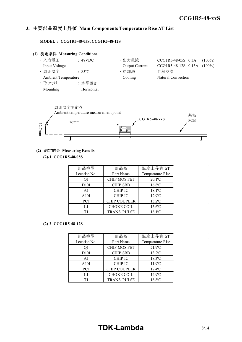#### *INSTRUCTION MANUAL* **3.** 主要部品温度上昇値 **Main Components Temperature Rise ΔT List**

**MODEL : CCG1R5-48-05S, CCG1R5-48-12S**





#### **(2)** 測定結果 **Measuring Results**

**(2)-1 CCG1R5-48-05S**

| 部品番号              | 部品名                 | 温度上昇値 ∆T              |  |  |  |
|-------------------|---------------------|-----------------------|--|--|--|
| Location No.      | Part Name           | Temperature Rise      |  |  |  |
| 01                | <b>CHIP MOS FET</b> | $20.1$ <sup>o</sup> C |  |  |  |
| D <sub>10</sub> 1 | <b>CHIP SBD</b>     | $16.8$ °C             |  |  |  |
| A <sub>1</sub>    | <b>CHIP IC</b>      | 18.1°C                |  |  |  |
| A101              | <b>CHIP IC</b>      | $12.9$ °C             |  |  |  |
| PC <sub>1</sub>   | <b>CHIP COUPLER</b> | $13.2$ <sup>o</sup> C |  |  |  |
| L1                | <b>CHOKE COIL</b>   | 15.6°C                |  |  |  |
| Τ1                | TRANS, PULSE        | 18.1°C                |  |  |  |

#### **(2)-2 CCG1R5-48-12S**

| 部品番号              | 部品名                 | 温度上昇值 ΔT              |  |  |  |
|-------------------|---------------------|-----------------------|--|--|--|
| Location No.      | Part Name           | Temperature Rise      |  |  |  |
| O1                | <b>CHIP MOS FET</b> | $21.9$ °C             |  |  |  |
| D <sub>10</sub> 1 | <b>CHIP SBD</b>     | $13.2$ <sup>o</sup> C |  |  |  |
| A <sub>1</sub>    | <b>CHIP IC</b>      | $18.3$ <sup>o</sup> C |  |  |  |
| A101              | <b>CHIP IC</b>      | $11.9^{\circ}$ C      |  |  |  |
| PC1               | <b>CHIP COUPLER</b> | $12.4$ <sup>o</sup> C |  |  |  |
| L1                | <b>CHOKE COIL</b>   | $14.9^{\circ}$ C      |  |  |  |
| T1                | TRANS, PULSE        | 18.8°C                |  |  |  |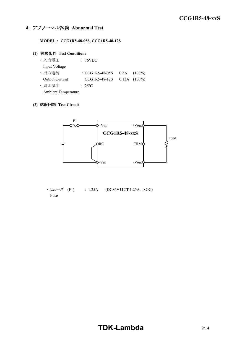### **4.** アブノーマル試験 **Abnormal Test**

**MODEL : CCG1R5-48-05S, CCG1R5-48-12S**

#### **(1)** 試験条件 **Test Conditions**

| ・入力電圧                      | : 76VDC                    |                   |
|----------------------------|----------------------------|-------------------|
| Input Voltage              |                            |                   |
| ・出力電流                      | $\therefore$ CCG1R5-48-05S | $0.3A$ $(100\%)$  |
| <b>Output Current</b>      | CCG1R5-48-12S              | $0.13A$ $(100\%)$ |
| · 周囲温度                     | $: 25^{\circ}$ C           |                   |
| <b>Ambient Temperature</b> |                            |                   |

#### **(2)** 試験回路 **Test Circuit**



 $\cdot$  ヒューズ (F1) : 1.25A (DC86V11CT 1.25A, SOC) Fuse

# **TDK-Lambda**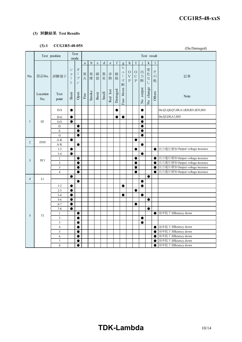#### **(3)** 試験結果 **Test Results**

## **(3)-1 CCG1R5-48-05S**

| Test<br>Test position<br>Test result<br>mode<br>$\mathbf f$<br>d<br>k<br>$\mathbf b$<br>$\mathbf{h}$<br>I<br>$\rm{a}$<br>$\mathbf{C}$<br>$\mathbf{e}% _{B}=\mathbf{e}_{B}+\mathbf{e}_{B}+\mathbf{e}_{B}+\mathbf{e}_{B}$<br>1<br>g<br>ヒ<br>シ<br>才<br>変化<br>出<br>$\zeta$<br>${\cal O}$<br>$\circ$<br>그<br>破<br>$\mathbf{I}$<br>発<br>発煙<br>破<br>異<br>赤<br>$\Xi$<br>方<br>部品No.<br>$\bigl] \hspace{0.02in}$<br>試験端子<br>$\rm V$<br>$\mathsf{C}$<br>$\mathcal{O}$<br>記事<br>No.<br>裂<br>$\vec{z}$<br>臭<br>熱<br>$\mathcal{I}$<br>火<br>損<br>$\rm P$<br>断<br>ズ<br>$\overline{P}$<br>他<br>$\cup$<br>$\checkmark$<br>$\vdash$<br>断<br>No change<br>blown<br>No output<br>Damaged<br>Red hot<br>Smoke<br>Others<br><b>Smell</b><br>Short<br>Burst<br>Open<br>Location<br>Test<br>$\operatorname{Fire}$<br>Note<br>point<br>No.<br>Fuse<br>$D-S$<br>Da:Q1,Q6,Q7,D8,A1,R28,R31,R35,SH1<br>$\bullet$<br>$\bullet$<br>0<br>$\bullet$<br>Da:Q3,D8,A1,SH1<br>$D-G$<br>$\bullet$<br>$\bullet$<br>$\bullet$<br>$\mathbf{1}$<br>Q1<br>G-S<br>$\bullet$<br>0<br>D<br>e<br>$\mathbf S$<br>$\bullet$<br>0<br>G<br>$\bullet$<br>e<br>$A-K$<br>0<br>●<br>2<br>D <sub>101</sub><br>A/K<br>$\bullet$<br>$\bullet$<br>出力電圧増加 Output voltage increase<br>$1 - 2$<br>$\bullet$<br>$\bullet$<br>0<br>$3 - 4$<br>$\bullet$<br>$\bullet$<br>出力電圧増加 Output voltage increase<br>$\bullet$<br>$\mathbf{1}$<br>●<br>$\bullet$<br>PC1<br>$\mathfrak{Z}$<br>出力電圧増加 Output voltage increase<br>$\overline{c}$<br>$\bullet$<br>$\bullet$<br>$\bullet$<br>出力電圧増加 Output voltage increase<br>3<br>$\bullet$<br>$\bullet$<br>●<br>出力電圧増加 Output voltage increase<br>$\overline{4}$<br>$\bullet$<br>$\bullet$<br>$\bullet$<br>$\bullet$<br>L1<br>$\overline{4}$<br>$\bullet$<br>$\bullet$<br>$1 - 2$<br>$\bullet$<br>●<br>$\bullet$<br>$2 - 3$<br>$\bullet$<br>$\bullet$<br>$3-4$<br>$\bullet$<br>$\bullet$<br>$\bullet$<br>$5 - 6$<br>$\bullet$<br>$6 - 7$<br>$\bullet$<br>●<br>$7 - 8$<br>$\bullet$<br>$\bullet$<br>効率低下 Efficiency down<br>$\mathbf{1}$<br>$\bullet$<br>$\bullet$<br>T1<br>5<br>$\overline{c}$<br>$\bullet$<br>0<br>3<br>$\bullet$<br>$\bullet$<br>効率低下 Efficiency down<br>$\overline{4}$<br>$\bullet$<br>$\bullet$<br>効率低下 Efficiency down<br>5<br>$\bullet$<br>$\bullet$<br>効率低下 Efficiency down<br>6<br>$\bullet$<br>$\bullet$<br>効率低下 Efficiency down<br>$\tau$<br>$\bullet$<br>$\bullet$ | $(3) - 1$ | CCG1R5-40-055 |           |  |  |  |  |  |           | (Da:Damaged)         |
|------------------------------------------------------------------------------------------------------------------------------------------------------------------------------------------------------------------------------------------------------------------------------------------------------------------------------------------------------------------------------------------------------------------------------------------------------------------------------------------------------------------------------------------------------------------------------------------------------------------------------------------------------------------------------------------------------------------------------------------------------------------------------------------------------------------------------------------------------------------------------------------------------------------------------------------------------------------------------------------------------------------------------------------------------------------------------------------------------------------------------------------------------------------------------------------------------------------------------------------------------------------------------------------------------------------------------------------------------------------------------------------------------------------------------------------------------------------------------------------------------------------------------------------------------------------------------------------------------------------------------------------------------------------------------------------------------------------------------------------------------------------------------------------------------------------------------------------------------------------------------------------------------------------------------------------------------------------------------------------------------------------------------------------------------------------------------------------------------------------------------------------------------------------------------------------------------------------------------------------------------------------------------------------------------------------------------------------------------------------|-----------|---------------|-----------|--|--|--|--|--|-----------|----------------------|
|                                                                                                                                                                                                                                                                                                                                                                                                                                                                                                                                                                                                                                                                                                                                                                                                                                                                                                                                                                                                                                                                                                                                                                                                                                                                                                                                                                                                                                                                                                                                                                                                                                                                                                                                                                                                                                                                                                                                                                                                                                                                                                                                                                                                                                                                                                                                                                  |           |               |           |  |  |  |  |  |           |                      |
|                                                                                                                                                                                                                                                                                                                                                                                                                                                                                                                                                                                                                                                                                                                                                                                                                                                                                                                                                                                                                                                                                                                                                                                                                                                                                                                                                                                                                                                                                                                                                                                                                                                                                                                                                                                                                                                                                                                                                                                                                                                                                                                                                                                                                                                                                                                                                                  |           |               |           |  |  |  |  |  |           |                      |
|                                                                                                                                                                                                                                                                                                                                                                                                                                                                                                                                                                                                                                                                                                                                                                                                                                                                                                                                                                                                                                                                                                                                                                                                                                                                                                                                                                                                                                                                                                                                                                                                                                                                                                                                                                                                                                                                                                                                                                                                                                                                                                                                                                                                                                                                                                                                                                  |           |               |           |  |  |  |  |  |           |                      |
|                                                                                                                                                                                                                                                                                                                                                                                                                                                                                                                                                                                                                                                                                                                                                                                                                                                                                                                                                                                                                                                                                                                                                                                                                                                                                                                                                                                                                                                                                                                                                                                                                                                                                                                                                                                                                                                                                                                                                                                                                                                                                                                                                                                                                                                                                                                                                                  |           |               |           |  |  |  |  |  |           |                      |
|                                                                                                                                                                                                                                                                                                                                                                                                                                                                                                                                                                                                                                                                                                                                                                                                                                                                                                                                                                                                                                                                                                                                                                                                                                                                                                                                                                                                                                                                                                                                                                                                                                                                                                                                                                                                                                                                                                                                                                                                                                                                                                                                                                                                                                                                                                                                                                  |           |               |           |  |  |  |  |  |           |                      |
|                                                                                                                                                                                                                                                                                                                                                                                                                                                                                                                                                                                                                                                                                                                                                                                                                                                                                                                                                                                                                                                                                                                                                                                                                                                                                                                                                                                                                                                                                                                                                                                                                                                                                                                                                                                                                                                                                                                                                                                                                                                                                                                                                                                                                                                                                                                                                                  |           |               |           |  |  |  |  |  |           |                      |
|                                                                                                                                                                                                                                                                                                                                                                                                                                                                                                                                                                                                                                                                                                                                                                                                                                                                                                                                                                                                                                                                                                                                                                                                                                                                                                                                                                                                                                                                                                                                                                                                                                                                                                                                                                                                                                                                                                                                                                                                                                                                                                                                                                                                                                                                                                                                                                  |           |               |           |  |  |  |  |  |           |                      |
|                                                                                                                                                                                                                                                                                                                                                                                                                                                                                                                                                                                                                                                                                                                                                                                                                                                                                                                                                                                                                                                                                                                                                                                                                                                                                                                                                                                                                                                                                                                                                                                                                                                                                                                                                                                                                                                                                                                                                                                                                                                                                                                                                                                                                                                                                                                                                                  |           |               |           |  |  |  |  |  |           |                      |
|                                                                                                                                                                                                                                                                                                                                                                                                                                                                                                                                                                                                                                                                                                                                                                                                                                                                                                                                                                                                                                                                                                                                                                                                                                                                                                                                                                                                                                                                                                                                                                                                                                                                                                                                                                                                                                                                                                                                                                                                                                                                                                                                                                                                                                                                                                                                                                  |           |               |           |  |  |  |  |  |           |                      |
|                                                                                                                                                                                                                                                                                                                                                                                                                                                                                                                                                                                                                                                                                                                                                                                                                                                                                                                                                                                                                                                                                                                                                                                                                                                                                                                                                                                                                                                                                                                                                                                                                                                                                                                                                                                                                                                                                                                                                                                                                                                                                                                                                                                                                                                                                                                                                                  |           |               |           |  |  |  |  |  |           |                      |
|                                                                                                                                                                                                                                                                                                                                                                                                                                                                                                                                                                                                                                                                                                                                                                                                                                                                                                                                                                                                                                                                                                                                                                                                                                                                                                                                                                                                                                                                                                                                                                                                                                                                                                                                                                                                                                                                                                                                                                                                                                                                                                                                                                                                                                                                                                                                                                  |           |               |           |  |  |  |  |  |           |                      |
|                                                                                                                                                                                                                                                                                                                                                                                                                                                                                                                                                                                                                                                                                                                                                                                                                                                                                                                                                                                                                                                                                                                                                                                                                                                                                                                                                                                                                                                                                                                                                                                                                                                                                                                                                                                                                                                                                                                                                                                                                                                                                                                                                                                                                                                                                                                                                                  |           |               |           |  |  |  |  |  |           |                      |
|                                                                                                                                                                                                                                                                                                                                                                                                                                                                                                                                                                                                                                                                                                                                                                                                                                                                                                                                                                                                                                                                                                                                                                                                                                                                                                                                                                                                                                                                                                                                                                                                                                                                                                                                                                                                                                                                                                                                                                                                                                                                                                                                                                                                                                                                                                                                                                  |           |               |           |  |  |  |  |  |           |                      |
|                                                                                                                                                                                                                                                                                                                                                                                                                                                                                                                                                                                                                                                                                                                                                                                                                                                                                                                                                                                                                                                                                                                                                                                                                                                                                                                                                                                                                                                                                                                                                                                                                                                                                                                                                                                                                                                                                                                                                                                                                                                                                                                                                                                                                                                                                                                                                                  |           |               |           |  |  |  |  |  |           |                      |
|                                                                                                                                                                                                                                                                                                                                                                                                                                                                                                                                                                                                                                                                                                                                                                                                                                                                                                                                                                                                                                                                                                                                                                                                                                                                                                                                                                                                                                                                                                                                                                                                                                                                                                                                                                                                                                                                                                                                                                                                                                                                                                                                                                                                                                                                                                                                                                  |           |               |           |  |  |  |  |  |           |                      |
|                                                                                                                                                                                                                                                                                                                                                                                                                                                                                                                                                                                                                                                                                                                                                                                                                                                                                                                                                                                                                                                                                                                                                                                                                                                                                                                                                                                                                                                                                                                                                                                                                                                                                                                                                                                                                                                                                                                                                                                                                                                                                                                                                                                                                                                                                                                                                                  |           |               |           |  |  |  |  |  |           |                      |
|                                                                                                                                                                                                                                                                                                                                                                                                                                                                                                                                                                                                                                                                                                                                                                                                                                                                                                                                                                                                                                                                                                                                                                                                                                                                                                                                                                                                                                                                                                                                                                                                                                                                                                                                                                                                                                                                                                                                                                                                                                                                                                                                                                                                                                                                                                                                                                  |           |               |           |  |  |  |  |  |           |                      |
|                                                                                                                                                                                                                                                                                                                                                                                                                                                                                                                                                                                                                                                                                                                                                                                                                                                                                                                                                                                                                                                                                                                                                                                                                                                                                                                                                                                                                                                                                                                                                                                                                                                                                                                                                                                                                                                                                                                                                                                                                                                                                                                                                                                                                                                                                                                                                                  |           |               |           |  |  |  |  |  |           |                      |
|                                                                                                                                                                                                                                                                                                                                                                                                                                                                                                                                                                                                                                                                                                                                                                                                                                                                                                                                                                                                                                                                                                                                                                                                                                                                                                                                                                                                                                                                                                                                                                                                                                                                                                                                                                                                                                                                                                                                                                                                                                                                                                                                                                                                                                                                                                                                                                  |           |               |           |  |  |  |  |  |           |                      |
|                                                                                                                                                                                                                                                                                                                                                                                                                                                                                                                                                                                                                                                                                                                                                                                                                                                                                                                                                                                                                                                                                                                                                                                                                                                                                                                                                                                                                                                                                                                                                                                                                                                                                                                                                                                                                                                                                                                                                                                                                                                                                                                                                                                                                                                                                                                                                                  |           |               |           |  |  |  |  |  |           |                      |
|                                                                                                                                                                                                                                                                                                                                                                                                                                                                                                                                                                                                                                                                                                                                                                                                                                                                                                                                                                                                                                                                                                                                                                                                                                                                                                                                                                                                                                                                                                                                                                                                                                                                                                                                                                                                                                                                                                                                                                                                                                                                                                                                                                                                                                                                                                                                                                  |           |               |           |  |  |  |  |  |           |                      |
|                                                                                                                                                                                                                                                                                                                                                                                                                                                                                                                                                                                                                                                                                                                                                                                                                                                                                                                                                                                                                                                                                                                                                                                                                                                                                                                                                                                                                                                                                                                                                                                                                                                                                                                                                                                                                                                                                                                                                                                                                                                                                                                                                                                                                                                                                                                                                                  |           |               |           |  |  |  |  |  |           |                      |
|                                                                                                                                                                                                                                                                                                                                                                                                                                                                                                                                                                                                                                                                                                                                                                                                                                                                                                                                                                                                                                                                                                                                                                                                                                                                                                                                                                                                                                                                                                                                                                                                                                                                                                                                                                                                                                                                                                                                                                                                                                                                                                                                                                                                                                                                                                                                                                  |           |               |           |  |  |  |  |  |           |                      |
|                                                                                                                                                                                                                                                                                                                                                                                                                                                                                                                                                                                                                                                                                                                                                                                                                                                                                                                                                                                                                                                                                                                                                                                                                                                                                                                                                                                                                                                                                                                                                                                                                                                                                                                                                                                                                                                                                                                                                                                                                                                                                                                                                                                                                                                                                                                                                                  |           |               |           |  |  |  |  |  |           |                      |
|                                                                                                                                                                                                                                                                                                                                                                                                                                                                                                                                                                                                                                                                                                                                                                                                                                                                                                                                                                                                                                                                                                                                                                                                                                                                                                                                                                                                                                                                                                                                                                                                                                                                                                                                                                                                                                                                                                                                                                                                                                                                                                                                                                                                                                                                                                                                                                  |           |               |           |  |  |  |  |  |           |                      |
|                                                                                                                                                                                                                                                                                                                                                                                                                                                                                                                                                                                                                                                                                                                                                                                                                                                                                                                                                                                                                                                                                                                                                                                                                                                                                                                                                                                                                                                                                                                                                                                                                                                                                                                                                                                                                                                                                                                                                                                                                                                                                                                                                                                                                                                                                                                                                                  |           |               |           |  |  |  |  |  |           |                      |
|                                                                                                                                                                                                                                                                                                                                                                                                                                                                                                                                                                                                                                                                                                                                                                                                                                                                                                                                                                                                                                                                                                                                                                                                                                                                                                                                                                                                                                                                                                                                                                                                                                                                                                                                                                                                                                                                                                                                                                                                                                                                                                                                                                                                                                                                                                                                                                  |           |               |           |  |  |  |  |  |           |                      |
|                                                                                                                                                                                                                                                                                                                                                                                                                                                                                                                                                                                                                                                                                                                                                                                                                                                                                                                                                                                                                                                                                                                                                                                                                                                                                                                                                                                                                                                                                                                                                                                                                                                                                                                                                                                                                                                                                                                                                                                                                                                                                                                                                                                                                                                                                                                                                                  |           |               |           |  |  |  |  |  |           |                      |
|                                                                                                                                                                                                                                                                                                                                                                                                                                                                                                                                                                                                                                                                                                                                                                                                                                                                                                                                                                                                                                                                                                                                                                                                                                                                                                                                                                                                                                                                                                                                                                                                                                                                                                                                                                                                                                                                                                                                                                                                                                                                                                                                                                                                                                                                                                                                                                  |           |               |           |  |  |  |  |  |           |                      |
|                                                                                                                                                                                                                                                                                                                                                                                                                                                                                                                                                                                                                                                                                                                                                                                                                                                                                                                                                                                                                                                                                                                                                                                                                                                                                                                                                                                                                                                                                                                                                                                                                                                                                                                                                                                                                                                                                                                                                                                                                                                                                                                                                                                                                                                                                                                                                                  |           |               |           |  |  |  |  |  |           |                      |
|                                                                                                                                                                                                                                                                                                                                                                                                                                                                                                                                                                                                                                                                                                                                                                                                                                                                                                                                                                                                                                                                                                                                                                                                                                                                                                                                                                                                                                                                                                                                                                                                                                                                                                                                                                                                                                                                                                                                                                                                                                                                                                                                                                                                                                                                                                                                                                  |           |               |           |  |  |  |  |  |           |                      |
|                                                                                                                                                                                                                                                                                                                                                                                                                                                                                                                                                                                                                                                                                                                                                                                                                                                                                                                                                                                                                                                                                                                                                                                                                                                                                                                                                                                                                                                                                                                                                                                                                                                                                                                                                                                                                                                                                                                                                                                                                                                                                                                                                                                                                                                                                                                                                                  |           |               |           |  |  |  |  |  |           |                      |
|                                                                                                                                                                                                                                                                                                                                                                                                                                                                                                                                                                                                                                                                                                                                                                                                                                                                                                                                                                                                                                                                                                                                                                                                                                                                                                                                                                                                                                                                                                                                                                                                                                                                                                                                                                                                                                                                                                                                                                                                                                                                                                                                                                                                                                                                                                                                                                  |           | 8             | $\bullet$ |  |  |  |  |  | $\bullet$ | 効率低下 Efficiency down |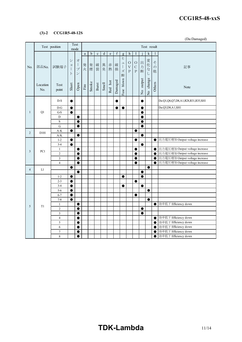#### **(3)-2 CCG1R5-48-12S**

(Da:Damaged)

|                | Test position    |                                           |                                       | Test<br>mode                                  |              | Test result |             |             |                                                                                |             |                                                          |                                 |                                              |             |               |                         |                                                                  |
|----------------|------------------|-------------------------------------------|---------------------------------------|-----------------------------------------------|--------------|-------------|-------------|-------------|--------------------------------------------------------------------------------|-------------|----------------------------------------------------------|---------------------------------|----------------------------------------------|-------------|---------------|-------------------------|------------------------------------------------------------------|
| No.            |                  |                                           |                                       |                                               | $\mathbf{a}$ | $\mathbf b$ | $\mathbf c$ | $\mathbf d$ | $\mathbf{e}% _{B}=\mathbf{e}_{B}+\mathbf{e}_{B}+\mathbf{e}_{B}+\mathbf{e}_{B}$ | $\mathbf f$ | $\mathbf{g}$                                             | $\boldsymbol{\mathrm{h}}$       | I                                            |             | $\mathbf k$   | 1                       |                                                                  |
|                | 部品No.            | 試験端子                                      | $\ddot{\checkmark}$<br>$\exists$<br>ト | 才<br>$\mathcal{I}$<br>$\mathcal{I}$<br>$\vee$ | 発<br>火       | 発煙          | 破裂          | 異臭          | 赤熱                                                                             | 破<br>損      | ヒ<br>$\overline{\phantom{a}}$<br>$\mathcal{I}$<br>ズ<br>断 | $\circ$<br>$\bar{V}$<br>$\rm P$ | $\bigcirc$<br>$\mathsf{C}$<br>$\overline{P}$ | 出<br>力<br>断 | 変化な<br>$\cup$ | そ<br>$\mathcal{O}$<br>他 | 記事                                                               |
|                | Location<br>No.  | <b>Test</b><br>point                      | Short                                 | Open                                          | Fire         | Smoke       | Burst       | Smell       | Red hot                                                                        | Damaged     | blown<br>Fuse                                            |                                 |                                              | No output   | No change     | Others                  | Note                                                             |
|                |                  | $D-S$                                     | 0                                     |                                               |              |             |             |             |                                                                                |             |                                                          |                                 |                                              |             |               |                         | Da:Q1,Q6,Q7,D8,A1,R28,R31,R35,SH1                                |
|                |                  | $\mathbf{D}\text{-}\mathbf{G}$            | $\bullet$                             |                                               |              |             |             |             |                                                                                | ●           | $\bullet$                                                |                                 |                                              | $\bullet$   |               |                         | Da:Q3,D8,A1,SH1                                                  |
| $\mathbf{1}$   | Q1               | $\operatorname{G-S}$                      | $\bullet$                             |                                               |              |             |             |             |                                                                                |             |                                                          |                                 |                                              | $\bullet$   |               |                         |                                                                  |
|                |                  | D                                         |                                       | $\bullet$                                     |              |             |             |             |                                                                                |             |                                                          |                                 |                                              | $\bullet$   |               |                         |                                                                  |
|                |                  | $\mathbf S$                               |                                       | $\bullet$                                     |              |             |             |             |                                                                                |             |                                                          |                                 |                                              | e           |               |                         |                                                                  |
|                |                  | $\overline{G}$                            |                                       | $\bullet$                                     |              |             |             |             |                                                                                |             |                                                          |                                 |                                              |             |               |                         |                                                                  |
| $\overline{2}$ | D <sub>101</sub> | $A-K$                                     | $\bullet$                             |                                               |              |             |             |             |                                                                                |             |                                                          |                                 | 0                                            |             |               |                         |                                                                  |
|                |                  | $\rm A/K$                                 |                                       | $\bullet$                                     |              |             |             |             |                                                                                |             |                                                          |                                 |                                              | $\bullet$   |               |                         |                                                                  |
|                |                  | $1 - 2$                                   | $\bullet$                             |                                               |              |             |             |             |                                                                                |             |                                                          |                                 | e                                            |             |               | $\bullet$               | 出力電圧増加 Output voltage increase                                   |
|                |                  | $3 - 4$                                   | $\bullet$                             |                                               |              |             |             |             |                                                                                |             |                                                          |                                 |                                              | $\bullet$   |               |                         |                                                                  |
| 3              | PC1              | $\mathbf{1}$                              |                                       | $\bullet$                                     |              |             |             |             |                                                                                |             |                                                          |                                 | $\bullet$                                    |             |               | $\bullet$               | 出力電圧増加 Output voltage increase<br>出力電圧増加 Output voltage increase |
|                |                  | $\overline{2}$                            |                                       | $\bullet$                                     |              |             |             |             |                                                                                |             |                                                          |                                 | 0                                            |             |               | $\bullet$               | 出力電圧増加 Output voltage increase                                   |
|                |                  | $\overline{\mathbf{3}}$<br>$\overline{4}$ |                                       | 0                                             |              |             |             |             |                                                                                |             |                                                          |                                 |                                              |             |               | $\bullet$               | 出力電圧増加 Output voltage increase                                   |
|                |                  |                                           | ●                                     |                                               |              |             |             |             |                                                                                |             |                                                          |                                 |                                              |             | $\bullet$     |                         |                                                                  |
| $\overline{4}$ | L1               |                                           |                                       | $\bullet$                                     |              |             |             |             |                                                                                |             |                                                          |                                 |                                              | $\bullet$   |               |                         |                                                                  |
|                |                  | $1 - 2$                                   | 0                                     |                                               |              |             |             |             |                                                                                |             | $\bullet$                                                |                                 |                                              | c           |               |                         |                                                                  |
|                |                  | $2 - 3$                                   | $\bullet$                             |                                               |              |             |             |             |                                                                                |             |                                                          |                                 | $\bullet$                                    |             |               |                         |                                                                  |
|                |                  | $3 - 4$                                   | $\bullet$                             |                                               |              |             |             |             |                                                                                |             | $\bullet$                                                |                                 |                                              | $\bullet$   |               |                         |                                                                  |
|                |                  | $5 - 6$                                   | $\bullet$                             |                                               |              |             |             |             |                                                                                |             |                                                          |                                 |                                              |             | $\bullet$     |                         |                                                                  |
|                |                  | $6 - 7$                                   | ●                                     |                                               |              |             |             |             |                                                                                |             |                                                          |                                 | e                                            |             |               |                         |                                                                  |
|                |                  | $7 - 8$                                   | $\bullet$                             |                                               |              |             |             |             |                                                                                |             |                                                          |                                 |                                              |             | $\bullet$     |                         |                                                                  |
| 5              | T1               | $\mathbf{1}$                              |                                       | $\bullet$                                     |              |             |             |             |                                                                                |             |                                                          |                                 |                                              |             |               | $\bullet$               | 効率低下 Efficiency down                                             |
|                |                  | $\overline{2}$                            |                                       | $\bullet$                                     |              |             |             |             |                                                                                |             |                                                          |                                 |                                              | $\bullet$   |               |                         |                                                                  |
|                |                  | $\overline{3}$                            |                                       | 0                                             |              |             |             |             |                                                                                |             |                                                          |                                 |                                              | 0           |               |                         |                                                                  |
|                |                  | $\overline{4}$                            |                                       | $\bullet$                                     |              |             |             |             |                                                                                |             |                                                          |                                 |                                              |             |               | $\bullet$               | 効率低下 Efficiency down                                             |
|                |                  | 5                                         |                                       | $\bullet$                                     |              |             |             |             |                                                                                |             |                                                          |                                 |                                              |             |               | $\bullet$               | 効率低下 Efficiency down                                             |
|                |                  | 6                                         |                                       | 0                                             |              |             |             |             |                                                                                |             |                                                          |                                 |                                              |             |               | $\bullet$               | 効率低下 Efficiency down                                             |
|                |                  | $\boldsymbol{7}$                          |                                       | ●                                             |              |             |             |             |                                                                                |             |                                                          |                                 |                                              |             |               |                         | 効率低下 Efficiency down                                             |
|                |                  | 8                                         |                                       | ●                                             |              |             |             |             |                                                                                |             |                                                          |                                 |                                              |             |               |                         | 効率低下 Efficiency down                                             |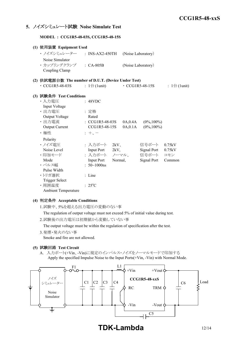#### **5.** ノイズシミュレート試験 **Noise Simulate Test**

**MODEL : CCG1R5-48-03S, CCG1R5-48-15S**

|  | (1) 使用装置 Equipment Used                                     |  |                              |         |                    |                       |                              |  |  |  |  |
|--|-------------------------------------------------------------|--|------------------------------|---------|--------------------|-----------------------|------------------------------|--|--|--|--|
|  | ・ ノイズシミュレーター : INS-AX2-450TH                                |  |                              |         | (Noise Laboratory) |                       |                              |  |  |  |  |
|  | Noise Simulator<br>· カップリングクランプ : CA-805B<br>Coupling Clamp |  |                              |         | (Noise Laboratory) |                       |                              |  |  |  |  |
|  | (2) 供試電源台数 The number of D.U.T. (Device Under Test)         |  |                              |         |                    |                       |                              |  |  |  |  |
|  | $\cdot$ CCG1R5-48-03S                                       |  | : $1 \oplus (1 \text{unit})$ |         |                    | $\cdot$ CCG1R5-48-15S | : $1 \oplus (1 \text{unit})$ |  |  |  |  |
|  | (3) 試験条件 Test Conditions                                    |  |                              |         |                    |                       |                              |  |  |  |  |
|  | ・入力電圧                                                       |  | : 48VDC                      |         |                    |                       |                              |  |  |  |  |
|  | Input Voltage                                               |  |                              |         |                    |                       |                              |  |  |  |  |
|  | ・出力電圧                                                       |  | : 定格                         |         |                    |                       |                              |  |  |  |  |
|  | Output Voltage                                              |  | Rated                        |         |                    |                       |                              |  |  |  |  |
|  | · 出力電流                                                      |  | $\therefore$ CCG1R5-48-03S   |         | 0A,0.4A            | $(0\%, 100\%)$        |                              |  |  |  |  |
|  | Output Current                                              |  | CCG1R5-48-15S                |         | 0A, 0.1A           | $(0\%, 100\%)$        |                              |  |  |  |  |
|  | ・極性                                                         |  | $: +$                        |         |                    |                       |                              |  |  |  |  |
|  | Polarity                                                    |  |                              |         |                    |                       |                              |  |  |  |  |
|  | ・ノイズ雷圧                                                      |  | : 入力ポート                      | 2kV     |                    | 信号ポート                 | 0.75kV                       |  |  |  |  |
|  | Noise Level                                                 |  | Input Port 2kV,              |         |                    | Signal Port           | 0.75kV                       |  |  |  |  |
|  | ・印加モード                                                      |  | : 入力ポート ノーマル、                |         |                    | 信号ポート                 | コモン                          |  |  |  |  |
|  | Mode                                                        |  | <b>Input Port</b>            | Normal, |                    | Signal Port           | Common                       |  |  |  |  |
|  | ・パルス幅                                                       |  | : $50 \sim 1000$ ns          |         |                    |                       |                              |  |  |  |  |
|  | Pulse Width                                                 |  |                              |         |                    |                       |                              |  |  |  |  |
|  | ・トリガ選択                                                      |  | : Line                       |         |                    |                       |                              |  |  |  |  |
|  | <b>Trigger Select</b>                                       |  |                              |         |                    |                       |                              |  |  |  |  |
|  | ·周囲温度                                                       |  | $: 25^{\circ}C$              |         |                    |                       |                              |  |  |  |  |
|  | Ambient Temperature                                         |  |                              |         |                    |                       |                              |  |  |  |  |

#### **(4)** 判定条件 **Acceptable Conditions**

1.試験中、5%を超える出力電圧の変動のない事

The regulation of output voltage must not exceed 5% of initial value during test.

2.試験後の出力電圧は初期値から変動していない事

The output voltage must be within the regulation of specification after the test.

3.発煙・発火のない事

Smoke and fire are not allowed.

#### **(5)** 試験回路 **Test Circuit**

A. 入力ポート(+Vin、-Vin)に規定のインパルス・ノイズをノーマルモードで印加する Apply the specified Impulse Noise to the Input Ports(+Vin, -Vin) with Normal Mode.



**TDK-Lambda** 12/14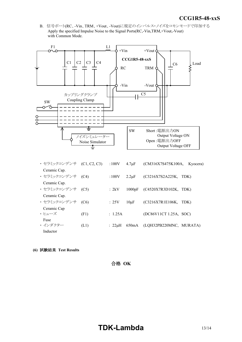*INSTRUCTION MANUAL* B. 信号ポート(RC、-Vin、TRM、+Vout、-Vout)に規定のインパルス・ノイズをコモンモードで印加する Apply the specified Impulse Noise to the Signal Ports(RC,-Vin,TRM,+Vout,-Vout) with Common Mode.



| Ceramic Cap.     |      |              |             |                         |      |
|------------------|------|--------------|-------------|-------------------------|------|
| ・セラミックコンデンサ (C4) |      | :100V        | $2.2 \mu F$ | (C3216X7S2A225K,        | TDK) |
| Ceramic Cap.     |      |              |             |                         |      |
| ・セラミックコンデンサ (C5) |      | : 2kV        | 1000pF      | (C4520X7R3D102K, TDK)   |      |
| Ceramic Cap.     |      |              |             |                         |      |
| ・ セラミックコンデンサ     | (C6) | :25V         | $10\mu F$   | (C3216X7R1E106K,        | TDK) |
| Ceramic Cap      |      |              |             |                         |      |
| ・トューズ            | (F1) | : 1.25A      |             | (DC86V11CT 1.25A, SOC)  |      |
| Fuse             |      |              |             |                         |      |
| ・インダクター          | (L1) | $: 22 \mu H$ | 650mA       | (LQH32PB220MNC, MURATA) |      |
| Inductor         |      |              |             |                         |      |

**(6)** 試験結果 **Test Results**

合格 **OK**